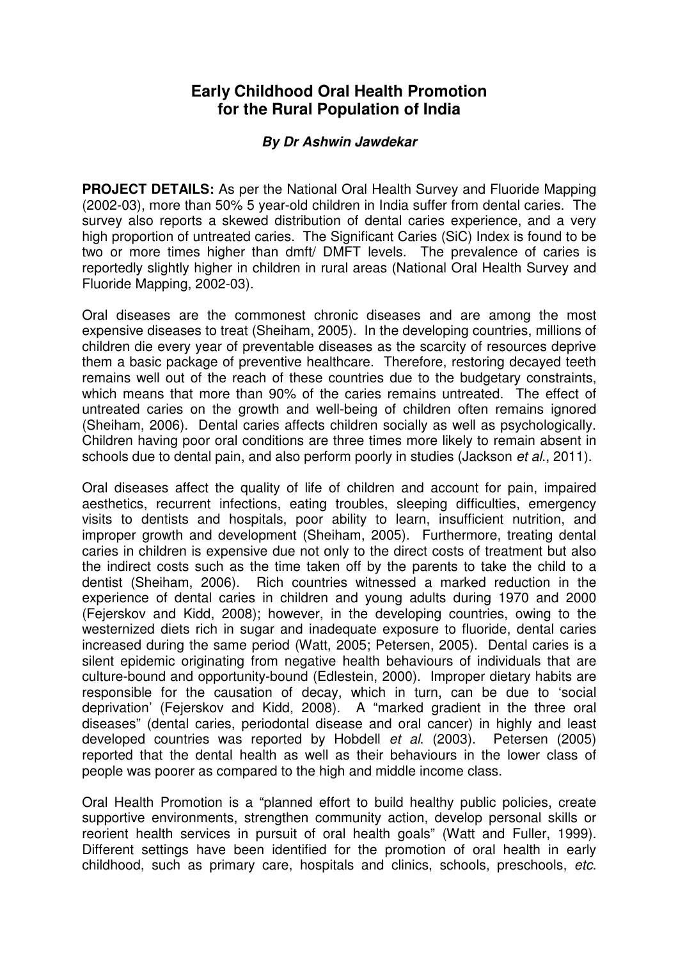# **Early Childhood Oral Health Promotion for the Rural Population of India**

#### **By Dr Ashwin Jawdekar**

**PROJECT DETAILS:** As per the National Oral Health Survey and Fluoride Mapping (2002-03), more than 50% 5 year-old children in India suffer from dental caries. The survey also reports a skewed distribution of dental caries experience, and a very high proportion of untreated caries. The Significant Caries (SiC) Index is found to be two or more times higher than dmft/ DMFT levels. The prevalence of caries is reportedly slightly higher in children in rural areas (National Oral Health Survey and Fluoride Mapping, 2002-03).

Oral diseases are the commonest chronic diseases and are among the most expensive diseases to treat (Sheiham, 2005). In the developing countries, millions of children die every year of preventable diseases as the scarcity of resources deprive them a basic package of preventive healthcare. Therefore, restoring decayed teeth remains well out of the reach of these countries due to the budgetary constraints, which means that more than 90% of the caries remains untreated. The effect of untreated caries on the growth and well-being of children often remains ignored (Sheiham, 2006). Dental caries affects children socially as well as psychologically. Children having poor oral conditions are three times more likely to remain absent in schools due to dental pain, and also perform poorly in studies (Jackson *et al.*, 2011).

Oral diseases affect the quality of life of children and account for pain, impaired aesthetics, recurrent infections, eating troubles, sleeping difficulties, emergency visits to dentists and hospitals, poor ability to learn, insufficient nutrition, and improper growth and development (Sheiham, 2005). Furthermore, treating dental caries in children is expensive due not only to the direct costs of treatment but also the indirect costs such as the time taken off by the parents to take the child to a dentist (Sheiham, 2006). Rich countries witnessed a marked reduction in the experience of dental caries in children and young adults during 1970 and 2000 (Fejerskov and Kidd, 2008); however, in the developing countries, owing to the westernized diets rich in sugar and inadequate exposure to fluoride, dental caries increased during the same period (Watt, 2005; Petersen, 2005). Dental caries is a silent epidemic originating from negative health behaviours of individuals that are culture-bound and opportunity-bound (Edlestein, 2000). Improper dietary habits are responsible for the causation of decay, which in turn, can be due to 'social deprivation' (Fejerskov and Kidd, 2008). A "marked gradient in the three oral diseases" (dental caries, periodontal disease and oral cancer) in highly and least developed countries was reported by Hobdell et al. (2003). Petersen (2005) reported that the dental health as well as their behaviours in the lower class of people was poorer as compared to the high and middle income class.

Oral Health Promotion is a "planned effort to build healthy public policies, create supportive environments, strengthen community action, develop personal skills or reorient health services in pursuit of oral health goals" (Watt and Fuller, 1999). Different settings have been identified for the promotion of oral health in early childhood, such as primary care, hospitals and clinics, schools, preschools, etc.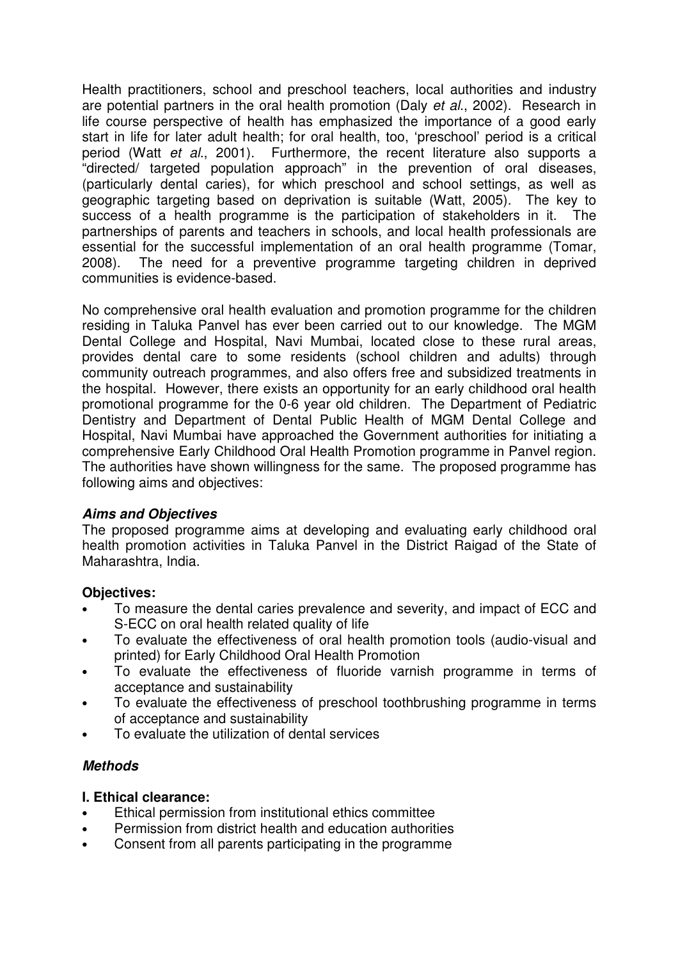Health practitioners, school and preschool teachers, local authorities and industry are potential partners in the oral health promotion (Daly et al., 2002). Research in life course perspective of health has emphasized the importance of a good early start in life for later adult health; for oral health, too, 'preschool' period is a critical period (Watt et al., 2001). Furthermore, the recent literature also supports a "directed/ targeted population approach" in the prevention of oral diseases, (particularly dental caries), for which preschool and school settings, as well as geographic targeting based on deprivation is suitable (Watt, 2005). The key to success of a health programme is the participation of stakeholders in it. The partnerships of parents and teachers in schools, and local health professionals are essential for the successful implementation of an oral health programme (Tomar, 2008). The need for a preventive programme targeting children in deprived communities is evidence-based.

No comprehensive oral health evaluation and promotion programme for the children residing in Taluka Panvel has ever been carried out to our knowledge. The MGM Dental College and Hospital, Navi Mumbai, located close to these rural areas, provides dental care to some residents (school children and adults) through community outreach programmes, and also offers free and subsidized treatments in the hospital. However, there exists an opportunity for an early childhood oral health promotional programme for the 0-6 year old children. The Department of Pediatric Dentistry and Department of Dental Public Health of MGM Dental College and Hospital, Navi Mumbai have approached the Government authorities for initiating a comprehensive Early Childhood Oral Health Promotion programme in Panvel region. The authorities have shown willingness for the same. The proposed programme has following aims and objectives:

#### **Aims and Objectives**

The proposed programme aims at developing and evaluating early childhood oral health promotion activities in Taluka Panvel in the District Raigad of the State of Maharashtra, India.

#### **Objectives:**

- To measure the dental caries prevalence and severity, and impact of ECC and S-ECC on oral health related quality of life
- To evaluate the effectiveness of oral health promotion tools (audio-visual and printed) for Early Childhood Oral Health Promotion
- To evaluate the effectiveness of fluoride varnish programme in terms of acceptance and sustainability
- To evaluate the effectiveness of preschool toothbrushing programme in terms of acceptance and sustainability
- To evaluate the utilization of dental services

#### **Methods**

#### **I. Ethical clearance:**

- Ethical permission from institutional ethics committee
- Permission from district health and education authorities
- Consent from all parents participating in the programme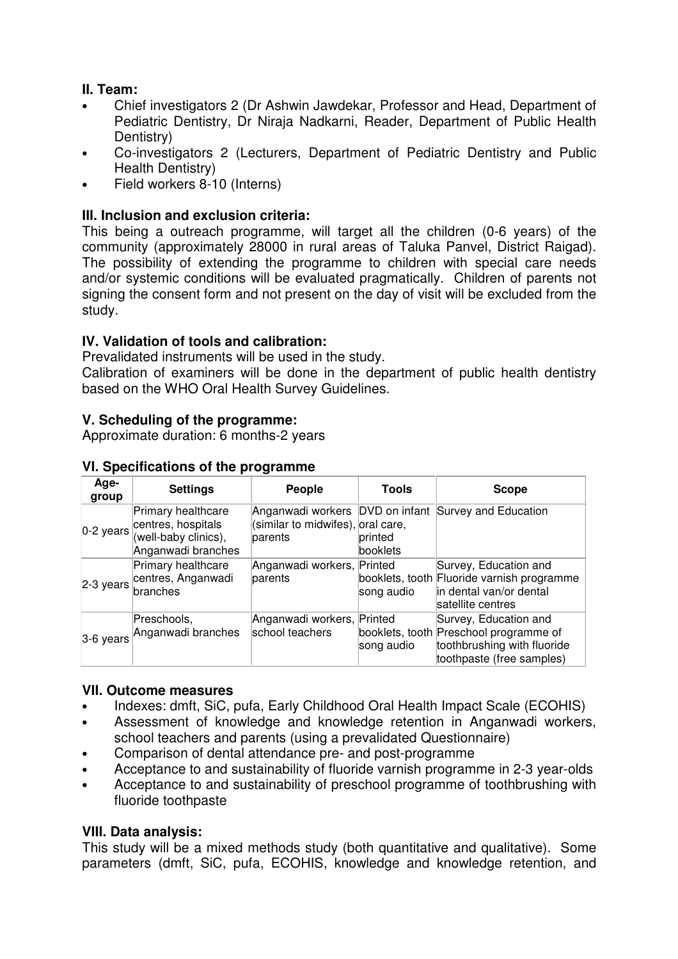## **II. Team:**

- Chief investigators 2 (Dr Ashwin Jawdekar, Professor and Head, Department of Pediatric Dentistry, Dr Niraja Nadkarni, Reader, Department of Public Health Dentistry)
- Co-investigators 2 (Lecturers, Department of Pediatric Dentistry and Public Health Dentistry)
- Field workers 8-10 (Interns)

#### **III. Inclusion and exclusion criteria:**

This being a outreach programme, will target all the children (0-6 years) of the community (approximately 28000 in rural areas of Taluka Panvel, District Raigad). The possibility of extending the programme to children with special care needs and/or systemic conditions will be evaluated pragmatically. Children of parents not signing the consent form and not present on the day of visit will be excluded from the study.

## **IV. Validation of tools and calibration:**

Prevalidated instruments will be used in the study.

Calibration of examiners will be done in the department of public health dentistry based on the WHO Oral Health Survey Guidelines.

#### **V. Scheduling of the programme:**

Approximate duration: 6 months-2 years

| Age-<br>group | <b>Settings</b>                                                                                        | People                                        | <b>Tools</b>        | <b>Scope</b>                                                                                                                |
|---------------|--------------------------------------------------------------------------------------------------------|-----------------------------------------------|---------------------|-----------------------------------------------------------------------------------------------------------------------------|
|               | Primary healthcare<br>$0-2$ years $ $ centres, hospitals<br>(well-baby clinics),<br>Anganwadi branches | (similar to midwifes), oral care,<br>parents  | printed<br>booklets | Anganwadi workers DVD on infant Survey and Education                                                                        |
|               | Primary healthcare<br>2-3 years centres, Anganwadi                                                     | Anganwadi workers, Printed<br>parents         | song audio          | Survey, Education and<br>booklets, tooth Fluoride varnish programme<br>in dental van/or dental<br>satellite centres         |
|               | Preschools,<br>3-6 years Anganwadi branches                                                            | Anganwadi workers, Printed<br>school teachers | song audio          | Survey, Education and<br>booklets, tooth Preschool programme of<br>toothbrushing with fluoride<br>toothpaste (free samples) |

#### **VI. Specifications of the programme**

#### **VII. Outcome measures**

- Indexes: dmft, SiC, pufa, Early Childhood Oral Health Impact Scale (ECOHIS)
- Assessment of knowledge and knowledge retention in Anganwadi workers, school teachers and parents (using a prevalidated Questionnaire)
- Comparison of dental attendance pre- and post-programme
- Acceptance to and sustainability of fluoride varnish programme in 2-3 year-olds
- Acceptance to and sustainability of preschool programme of toothbrushing with fluoride toothpaste

#### **VIII. Data analysis:**

This study will be a mixed methods study (both quantitative and qualitative). Some parameters (dmft, SiC, pufa, ECOHIS, knowledge and knowledge retention, and